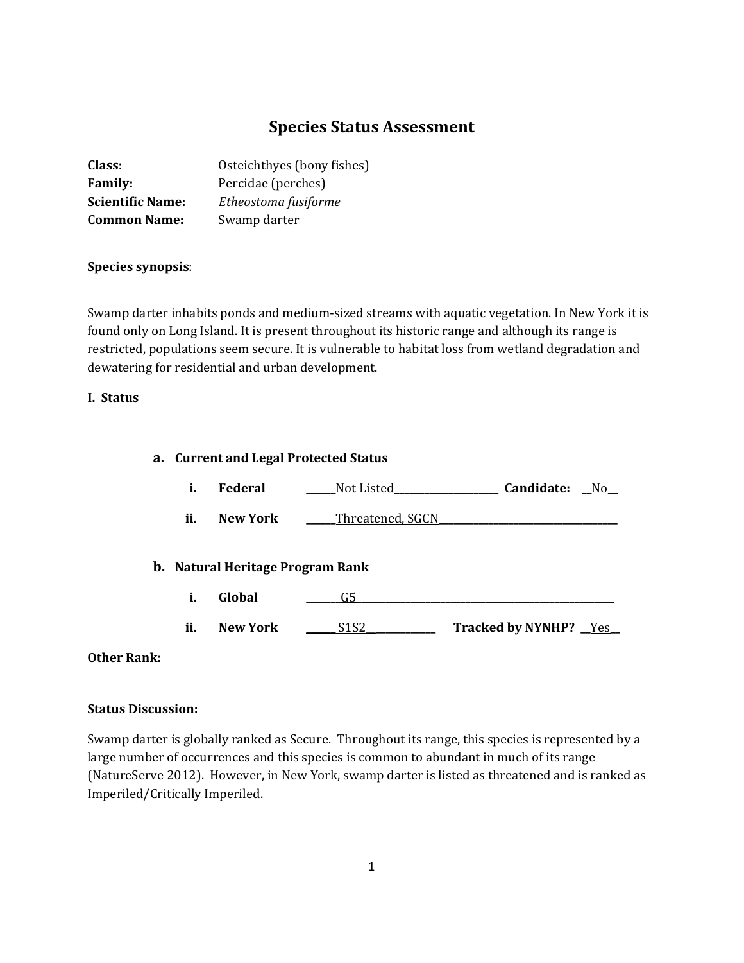# **Species Status Assessment**

| Class:                  | Osteichthyes (bony fishes) |
|-------------------------|----------------------------|
| <b>Family:</b>          | Percidae (perches)         |
| <b>Scientific Name:</b> | Etheostoma fusiforme       |
| <b>Common Name:</b>     | Swamp darter               |

# **Species synopsis**:

Swamp darter inhabits ponds and medium-sized streams with aquatic vegetation. In New York it is found only on Long Island. It is present throughout its historic range and although its range is restricted, populations seem secure. It is vulnerable to habitat loss from wetland degradation and dewatering for residential and urban development.

# **I. Status**

# **a. Current and Legal Protected Status**

- **i. Federal \_\_\_\_\_\_**Not Listed**\_\_\_\_\_\_\_\_\_\_\_\_\_\_\_\_\_\_\_\_\_ Candidate: \_\_**No**\_\_**
- **ii. New York \_\_\_\_\_\_**Threatened, SGCN**\_\_\_\_\_\_\_\_\_\_\_\_\_\_\_\_\_\_\_\_\_\_\_\_\_\_\_\_\_\_\_\_\_\_\_\_**

# **b. Natural Heritage Program Rank**

- **i. Global \_\_\_\_\_\_\_**G5**\_\_\_\_\_\_\_\_\_\_\_\_\_\_\_\_\_\_\_\_\_\_\_\_\_\_\_\_\_\_\_\_\_\_\_\_\_\_\_\_\_\_\_\_\_\_\_\_\_\_\_\_**
- **ii. New York \_\_\_\_\_\_** S1S2\_\_**\_\_\_\_\_\_\_\_\_\_\_\_ Tracked by NYNHP? \_\_**Yes**\_\_**

#### **Other Rank:**

#### **Status Discussion:**

Swamp darter is globally ranked as Secure. Throughout its range, this species is represented by a large number of occurrences and this species is common to abundant in much of its range (NatureServe 2012). However, in New York, swamp darter is listed as threatened and is ranked as Imperiled/Critically Imperiled.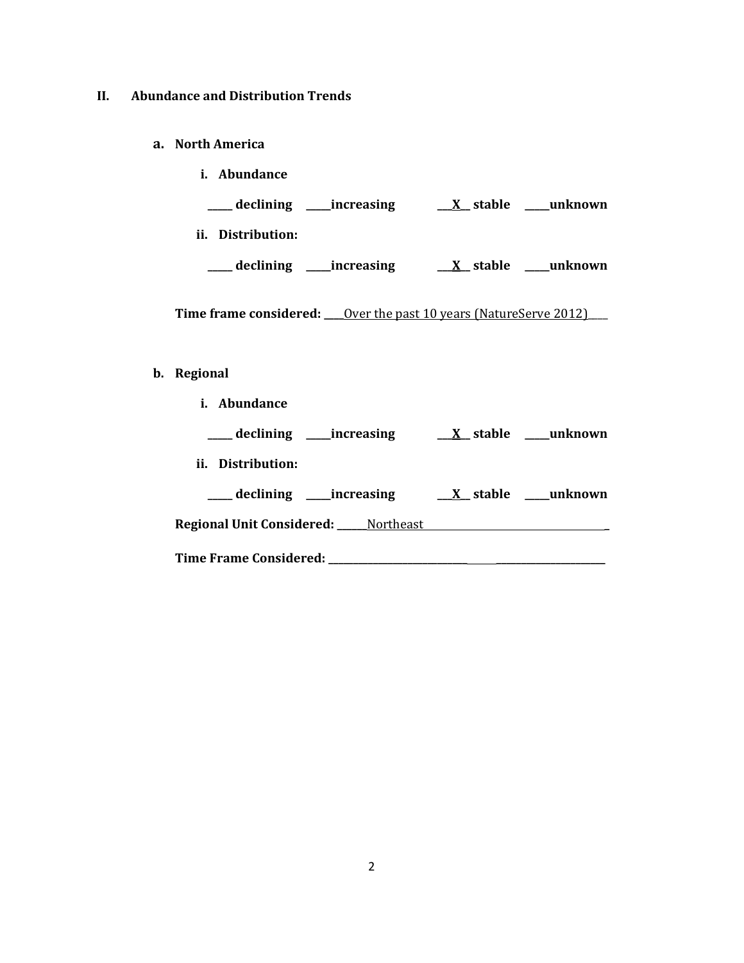# **II. Abundance and Distribution Trends**

**a. North America**

| <i>i.</i> Abundance        |                     |
|----------------------------|---------------------|
| declining _____increasing  | X stable<br>unknown |
| ii.<br>Distribution:       |                     |
| declining ______increasing | X stable<br>unknown |

**Time frame considered:** <u>Over the past 10 years (NatureServe 2012)</u>

# **b. Regional**

| <i>i.</i> Abundance                       |                                     |
|-------------------------------------------|-------------------------------------|
| ____ declining _____increasing            | $X_$ stable $\_\_\$ unknown         |
| ii. Distribution:                         |                                     |
| declining _____increasing                 | $\underline{X}$ _stable ____unknown |
| Regional Unit Considered: _____ Northeast |                                     |
|                                           |                                     |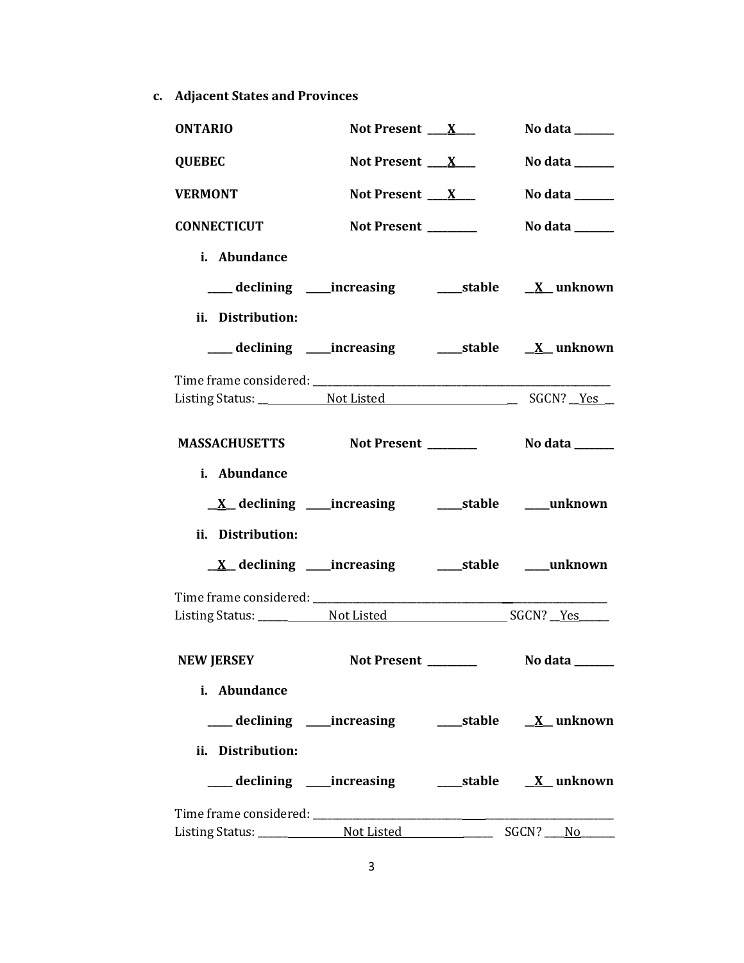**c. Adjacent States and Provinces**

| <b>ONTARIO</b>                                     | Not Present $X_{-}$                                         | No data $\_\_\_\_\_\_\_\_\_\_\_\$                                           |
|----------------------------------------------------|-------------------------------------------------------------|-----------------------------------------------------------------------------|
| <b>QUEBEC</b>                                      | Not Present $X_{-}$                                         | No data $\_\_\_\_\_\_\_\_\_\_\_\$                                           |
| <b>VERMONT</b>                                     | Not Present $X_{-}$                                         | No data $\frac{1}{\sqrt{1-\frac{1}{2}}\cdot\frac{1}{\sqrt{1-\frac{1}{2}}}}$ |
| <b>CONNECTICUT</b>                                 | Not Present _______                                         | No data ______                                                              |
| i. Abundance                                       |                                                             |                                                                             |
|                                                    | ___ declining ____increasing ______stable ___ X__unknown    |                                                                             |
| ii. Distribution:                                  |                                                             |                                                                             |
|                                                    | ___ declining ____increasing ______stable ___ X__unknown    |                                                                             |
|                                                    |                                                             |                                                                             |
|                                                    |                                                             |                                                                             |
| MASSACHUSETTS Not Present _________ No data ______ |                                                             |                                                                             |
| i. Abundance                                       |                                                             |                                                                             |
|                                                    |                                                             |                                                                             |
| ii. Distribution:                                  |                                                             |                                                                             |
|                                                    |                                                             |                                                                             |
|                                                    |                                                             |                                                                             |
|                                                    |                                                             |                                                                             |
| <b>NEW JERSEY</b>                                  | <b>Not Present</b>                                          | No data ______                                                              |
| i. Abundance                                       |                                                             |                                                                             |
|                                                    |                                                             |                                                                             |
| ii. Distribution:                                  |                                                             |                                                                             |
|                                                    | ___declining ___increasing _____stable __ <u>X</u> _unknown |                                                                             |
|                                                    |                                                             |                                                                             |
|                                                    |                                                             |                                                                             |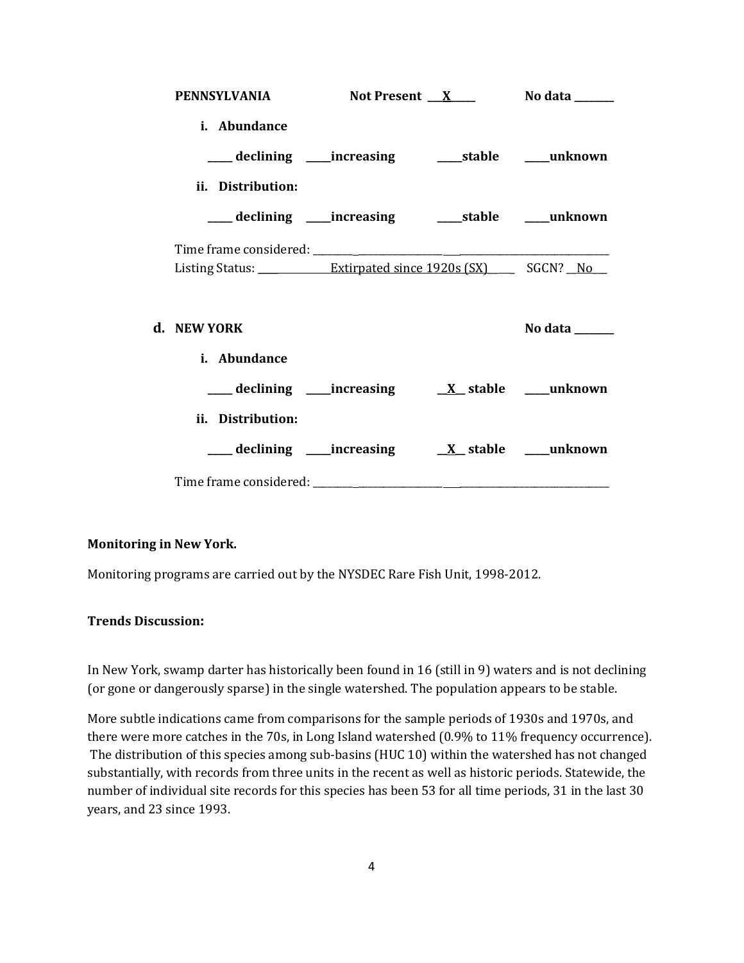| <b>PENNSYLVANIA</b>                                                                        | Not Present $X$ No data $X$ |                |
|--------------------------------------------------------------------------------------------|-----------------------------|----------------|
| i. Abundance                                                                               |                             |                |
| ____ declining ____ increasing ______ stable _____ unknown                                 |                             |                |
| ii. Distribution:                                                                          |                             |                |
|                                                                                            |                             |                |
|                                                                                            |                             |                |
| Listing Status: <u>______________ Extirpated since 1920s (SX)</u> ______ SGCN? _ <u>No</u> |                             |                |
| d. NEW YORK                                                                                |                             | No data ______ |
| i. Abundance                                                                               |                             |                |
| ___declining ___increasing __ <u>X</u> _stable ___unknown                                  |                             |                |
| ii. Distribution:                                                                          |                             |                |
|                                                                                            |                             |                |
|                                                                                            |                             |                |

#### **Monitoring in New York.**

Monitoring programs are carried out by the NYSDEC Rare Fish Unit, 1998-2012.

# **Trends Discussion:**

In New York, swamp darter has historically been found in 16 (still in 9) waters and is not declining (or gone or dangerously sparse) in the single watershed. The population appears to be stable.

More subtle indications came from comparisons for the sample periods of 1930s and 1970s, and there were more catches in the 70s, in Long Island watershed (0.9% to 11% frequency occurrence). The distribution of this species among sub-basins (HUC 10) within the watershed has not changed substantially, with records from three units in the recent as well as historic periods. Statewide, the number of individual site records for this species has been 53 for all time periods, 31 in the last 30 years, and 23 since 1993.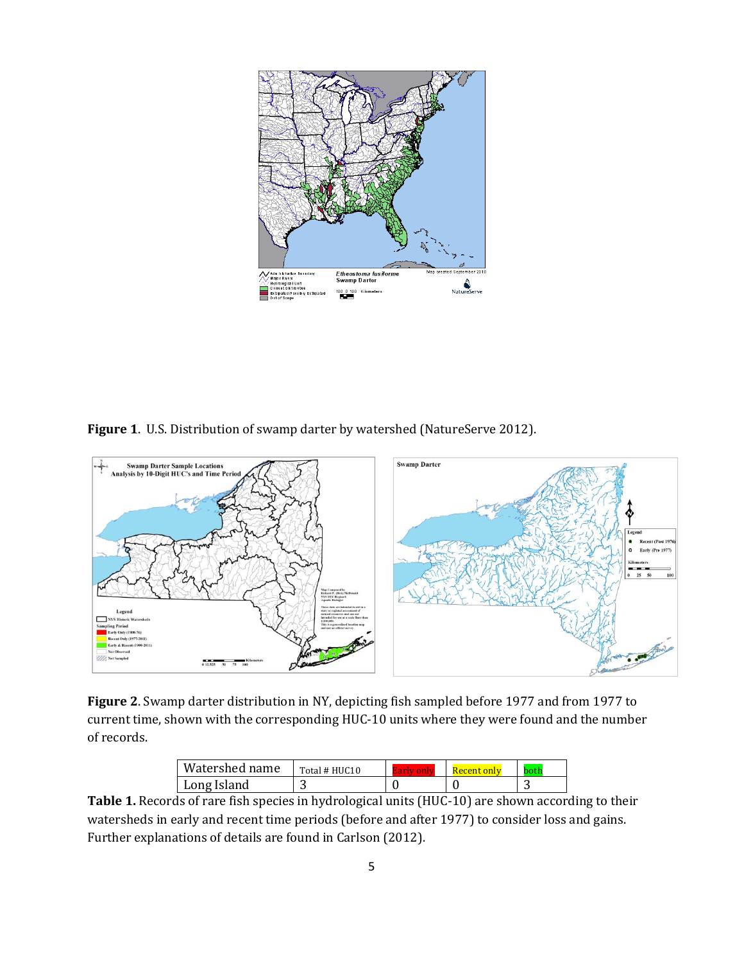

**Figure 1**. U.S. Distribution of swamp darter by watershed (NatureServe 2012).



**Figure 2**. Swamp darter distribution in NY, depicting fish sampled before 1977 and from 1977 to current time, shown with the corresponding HUC-10 units where they were found and the number of records.

| Watershed name | Total # HUC10 | <b>Recent only</b> | ntr |
|----------------|---------------|--------------------|-----|
| Long Island    | ⌒             |                    |     |

**Table 1.** Records of rare fish species in hydrological units (HUC-10) are shown according to their watersheds in early and recent time periods (before and after 1977) to consider loss and gains. Further explanations of details are found in Carlson (2012).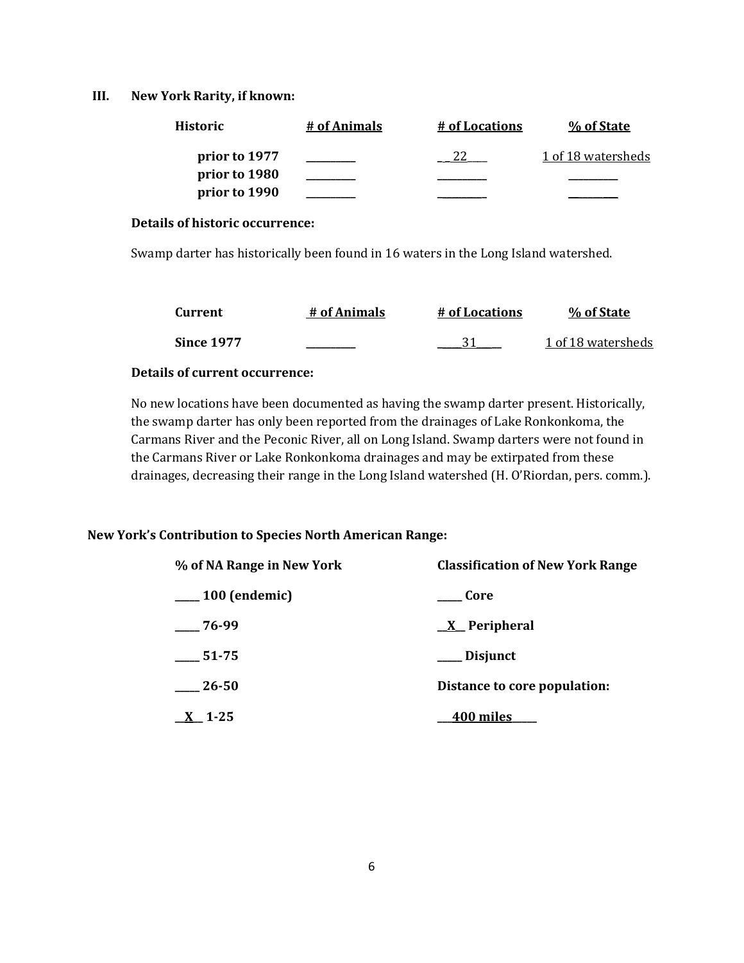#### **III. New York Rarity, if known:**

| Historic      | # of Animals | # of Locations | % of State         |
|---------------|--------------|----------------|--------------------|
| prior to 1977 |              |                | 1 of 18 watersheds |
| prior to 1980 |              |                |                    |
| prior to 1990 |              |                |                    |

#### **Details of historic occurrence:**

Swamp darter has historically been found in 16 waters in the Long Island watershed.

| Current           | # of Animals | # of Locations | % of State         |
|-------------------|--------------|----------------|--------------------|
| <b>Since 1977</b> |              |                | 1 of 18 watersheds |

#### **Details of current occurrence:**

No new locations have been documented as having the swamp darter present. Historically, the swamp darter has only been reported from the drainages of Lake Ronkonkoma, the Carmans River and the Peconic River, all on Long Island. Swamp darters were not found in the Carmans River or Lake Ronkonkoma drainages and may be extirpated from these drainages, decreasing their range in the Long Island watershed (H. O'Riordan, pers. comm.).

# **New York's Contribution to Species North American Range:**

| % of NA Range in New York | <b>Classification of New York Range</b> |
|---------------------------|-----------------------------------------|
| $\frac{100}{2}$ (endemic) | Core                                    |
| $-76-99$                  | $X$ Peripheral                          |
| 51-75                     | Disjunct                                |
| 26-50                     | Distance to core population:            |
| $\underline{X}$ 1-25      | 400 miles                               |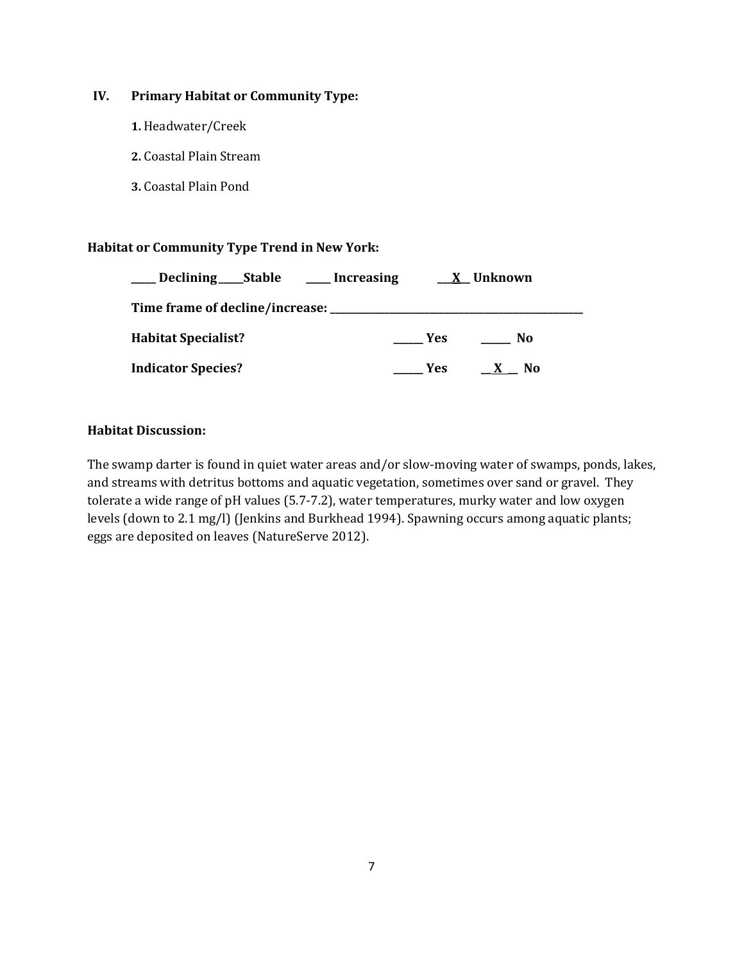# **IV. Primary Habitat or Community Type:**

- **1.** Headwater/Creek
- **2.** Coastal Plain Stream
- **3.** Coastal Plain Pond

# **Habitat or Community Type Trend in New York:**

| Declining ______Stable                  | Increasing |      | X Unknown |
|-----------------------------------------|------------|------|-----------|
| Time frame of decline/increase: _______ |            |      |           |
| <b>Habitat Specialist?</b>              |            | Yes  | No        |
| <b>Indicator Species?</b>               |            | Yes. | No.       |

# **Habitat Discussion:**

The swamp darter is found in quiet water areas and/or slow-moving water of swamps, ponds, lakes, and streams with detritus bottoms and aquatic vegetation, sometimes over sand or gravel. They tolerate a wide range of pH values (5.7-7.2), water temperatures, murky water and low oxygen levels (down to 2.1 mg/l) (Jenkins and Burkhead 1994). Spawning occurs among aquatic plants; eggs are deposited on leaves (NatureServe 2012).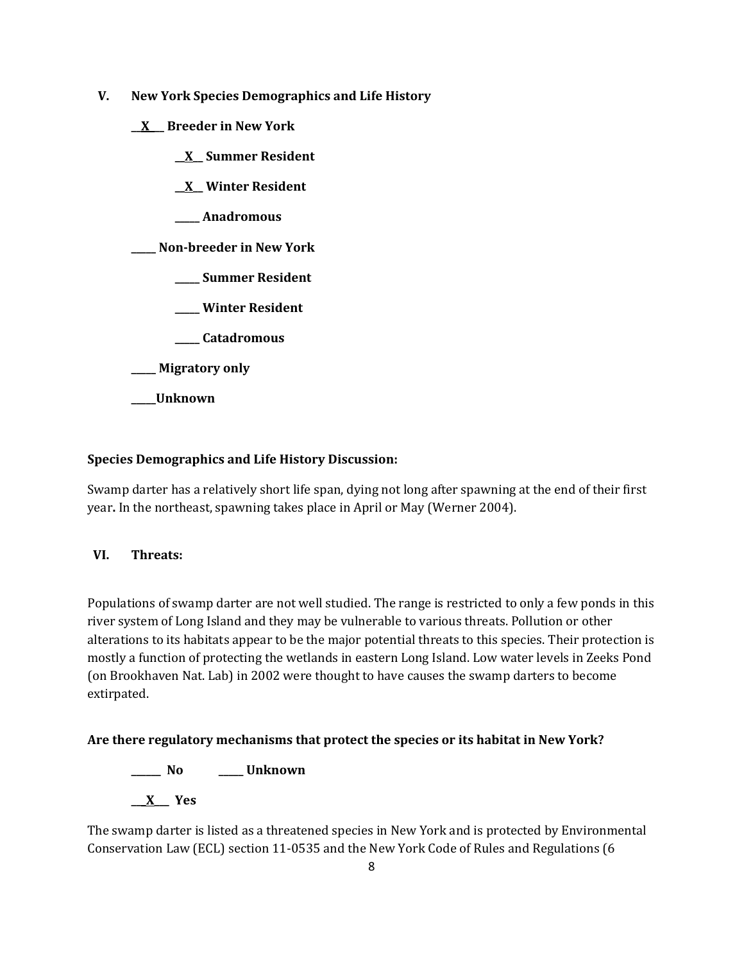- **V. New York Species Demographics and Life History**
	- **\_\_X\_\_\_ Breeder in New York**
		- **\_\_X\_\_ Summer Resident**
		- **\_\_X\_\_ Winter Resident**
		- **\_\_\_\_\_ Anadromous**

# **\_\_\_\_\_ Non-breeder in New York**

- **\_\_\_\_\_ Summer Resident**
- **\_\_\_\_\_ Winter Resident**
- **\_\_\_\_\_ Catadromous**
- **\_\_\_\_\_ Migratory only**
- **\_\_\_\_\_Unknown**

# **Species Demographics and Life History Discussion:**

Swamp darter has a relatively short life span, dying not long after spawning at the end of their first year**.** In the northeast, spawning takes place in April or May (Werner 2004).

# **VI. Threats:**

Populations of swamp darter are not well studied. The range is restricted to only a few ponds in this river system of Long Island and they may be vulnerable to various threats. Pollution or other alterations to its habitats appear to be the major potential threats to this species. Their protection is mostly a function of protecting the wetlands in eastern Long Island. Low water levels in Zeeks Pond (on Brookhaven Nat. Lab) in 2002 were thought to have causes the swamp darters to become extirpated.

# **Are there regulatory mechanisms that protect the species or its habitat in New York?**

**\_\_\_\_\_\_ No \_\_\_\_\_ Unknown**

**\_\_\_X\_\_\_ Yes** 

The swamp darter is listed as a threatened species in New York and is protected by Environmental Conservation Law (ECL) section 11-0535 and the New York Code of Rules and Regulations (6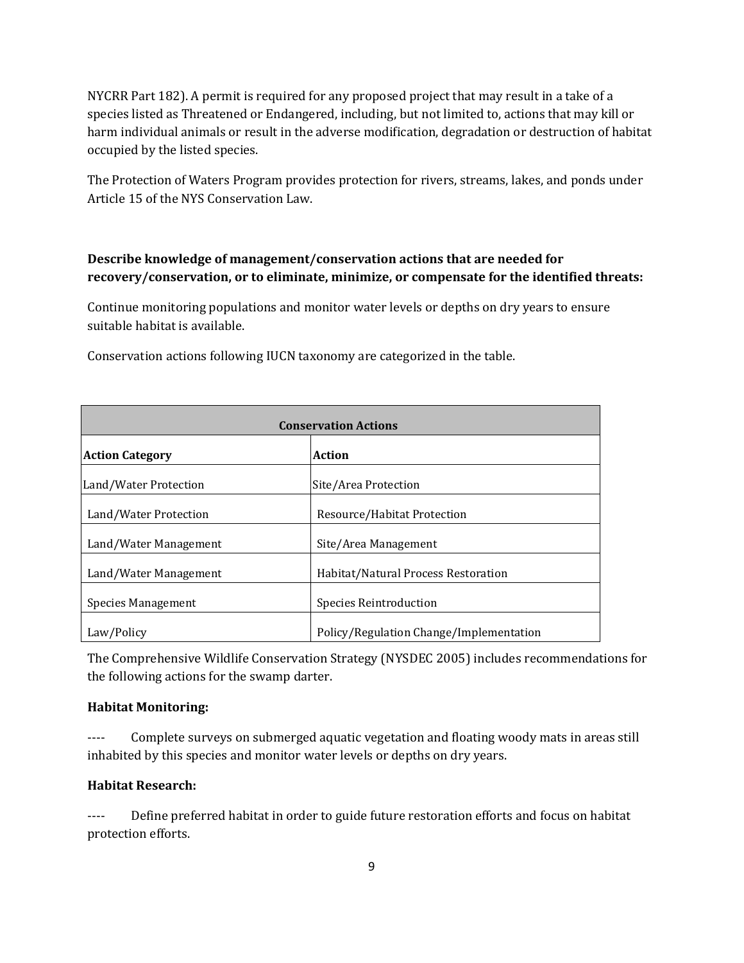NYCRR Part 182). A permit is required for any proposed project that may result in a take of a species listed as Threatened or Endangered, including, but not limited to, actions that may kill or harm individual animals or result in the adverse modification, degradation or destruction of habitat occupied by the listed species.

The Protection of Waters Program provides protection for rivers, streams, lakes, and ponds under Article 15 of the NYS Conservation Law.

# **Describe knowledge of management/conservation actions that are needed for recovery/conservation, or to eliminate, minimize, or compensate for the identified threats:**

Continue monitoring populations and monitor water levels or depths on dry years to ensure suitable habitat is available.

| <b>Conservation Actions</b> |                                         |  |
|-----------------------------|-----------------------------------------|--|
| <b>Action Category</b>      | <b>Action</b>                           |  |
| Land/Water Protection       | Site/Area Protection                    |  |
| Land/Water Protection       | Resource/Habitat Protection             |  |
| Land/Water Management       | Site/Area Management                    |  |
| Land/Water Management       | Habitat/Natural Process Restoration     |  |
| Species Management          | Species Reintroduction                  |  |
| Law/Policy                  | Policy/Regulation Change/Implementation |  |

Conservation actions following IUCN taxonomy are categorized in the table.

The Comprehensive Wildlife Conservation Strategy (NYSDEC 2005) includes recommendations for the following actions for the swamp darter.

# **Habitat Monitoring:**

---- Complete surveys on submerged aquatic vegetation and floating woody mats in areas still inhabited by this species and monitor water levels or depths on dry years.

# **Habitat Research:**

---- Define preferred habitat in order to guide future restoration efforts and focus on habitat protection efforts.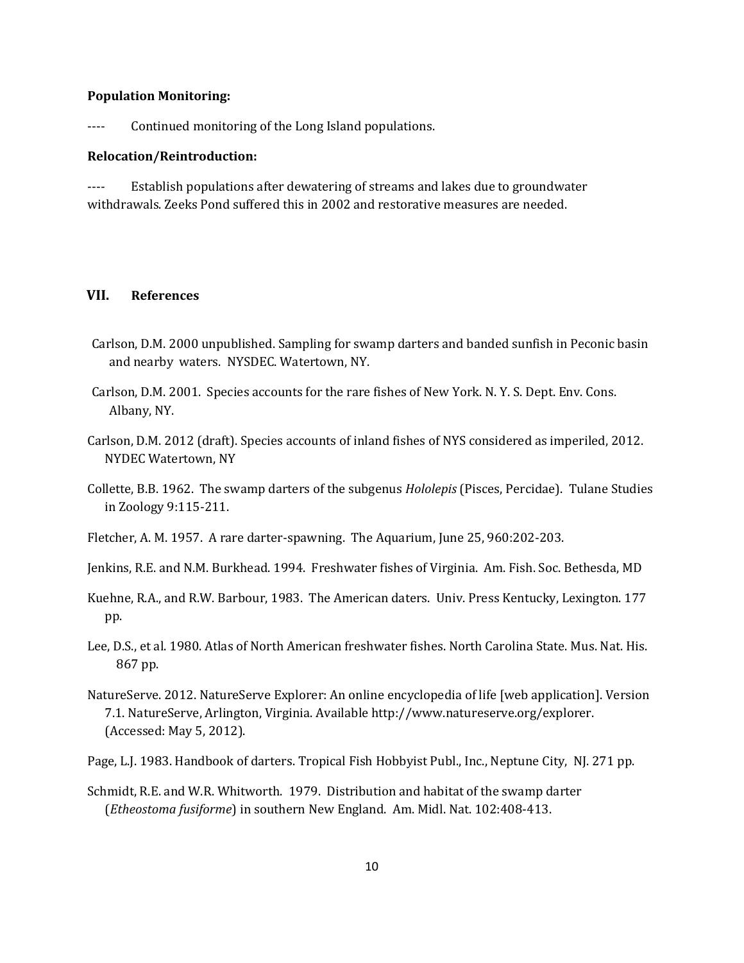#### **Population Monitoring:**

---- Continued monitoring of the Long Island populations.

#### **Relocation/Reintroduction:**

---- Establish populations after dewatering of streams and lakes due to groundwater withdrawals. Zeeks Pond suffered this in 2002 and restorative measures are needed.

# **VII. References**

- Carlson, D.M. 2000 unpublished. Sampling for swamp darters and banded sunfish in Peconic basin and nearby waters. NYSDEC. Watertown, NY.
- Carlson, D.M. 2001. Species accounts for the rare fishes of New York. N. Y. S. Dept. Env. Cons. Albany, NY.
- Carlson, D.M. 2012 (draft). Species accounts of inland fishes of NYS considered as imperiled, 2012. NYDEC Watertown, NY
- Collette, B.B. 1962. The swamp darters of the subgenus *Hololepis* (Pisces, Percidae). Tulane Studies in Zoology 9:115-211.
- Fletcher, A. M. 1957. A rare darter-spawning. The Aquarium, June 25, 960:202-203.
- Jenkins, R.E. and N.M. Burkhead. 1994. Freshwater fishes of Virginia. Am. Fish. Soc. Bethesda, MD
- Kuehne, R.A., and R.W. Barbour, 1983. The American daters. Univ. Press Kentucky, Lexington. 177 pp.
- Lee, D.S., et al. 1980. Atlas of North American freshwater fishes. North Carolina State. Mus. Nat. His. 867 pp.
- NatureServe. 2012. NatureServe Explorer: An online encyclopedia of life [web application]. Version 7.1. NatureServe, Arlington, Virginia. Available http://www.natureserve.org/explorer. (Accessed: May 5, 2012).
- Page, L.J. 1983. Handbook of darters. Tropical Fish Hobbyist Publ., Inc., Neptune City, NJ. 271 pp.
- Schmidt, R.E. and W.R. Whitworth. 1979. Distribution and habitat of the swamp darter (*Etheostoma fusiforme*) in southern New England. Am. Midl. Nat. 102:408-413.